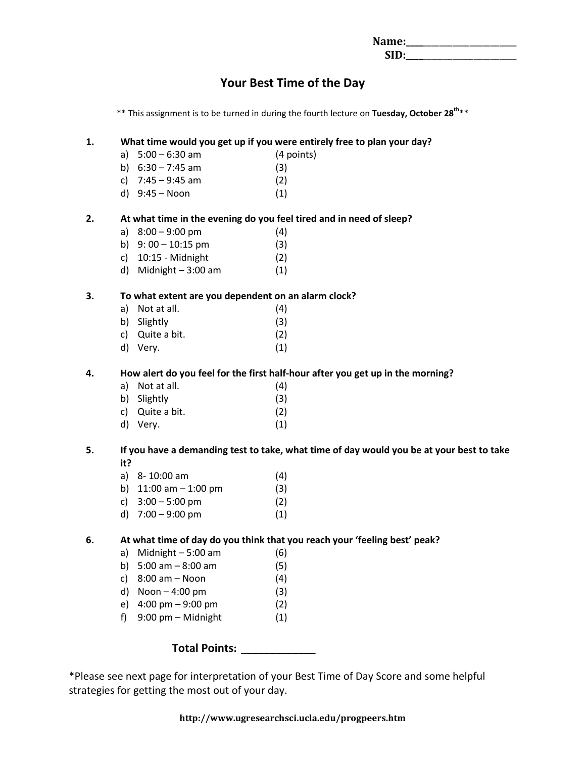| Name: |  |
|-------|--|
| SID:  |  |

# **Your Best Time of the Day**

\*\* This assignment is to be turned in during the fourth lecture on **Tuesday, October 28 th**\*\*

#### **1. What time would you get up if you were entirely free to plan your day?**

| a) $5:00 - 6:30$ am | (4 points) |
|---------------------|------------|
| b) $6:30 - 7:45$ am | (3)        |
| c) $7:45 - 9:45$ am | (2)        |

d)  $9:45 - N$ oon (1)

#### **2. At what time in the evening do you feel tired and in need of sleep?**

- a) 8:00 9:00 pm (4)
- b)  $9:00 10:15 \text{ pm}$  (3)
- c) 10:15 Midnight (2)
- d) Midnight  $-3:00$  am  $(1)$

#### **3. To what extent are you dependent on an alarm clock?**

- a) Not at all.  $(4)$ b) Slightly (3) c) Quite a bit. (2)
- d) Very. (1)

#### **4. How alert do you feel for the first half-hour after you get up in the morning?**

- a) Not at all.  $(4)$
- b) Slightly (3)
- c) Quite a bit. (2) d) Very. (1)

#### **5. If you have a demanding test to take, what time of day would you be at your best to take it?**

- a) 8- 10:00 am (4)
- b)  $11:00 \text{ am} 1:00 \text{ pm}$  (3)
- c)  $3:00 5:00 \text{ pm}$  (2)
- d)  $7:00 9:00 \text{ pm}$  (1)

### **6. At what time of day do you think that you reach your 'feeling best' peak?**

- a) Midnight  $-5:00$  am  $(6)$
- b) 5:00 am 8:00 am (5)
- c)  $8:00 \text{ am} \text{Noon}$  (4)
- d)  $Noon 4:00 pm$  (3)
- e) 4:00 pm 9:00 pm (2)
- f)  $9:00 \text{ pm} \text{Midnight}$  (1)

### **Total Points: \_\_\_\_\_\_\_\_\_\_\_\_\_**

\*Please see next page for interpretation of your Best Time of Day Score and some helpful strategies for getting the most out of your day.